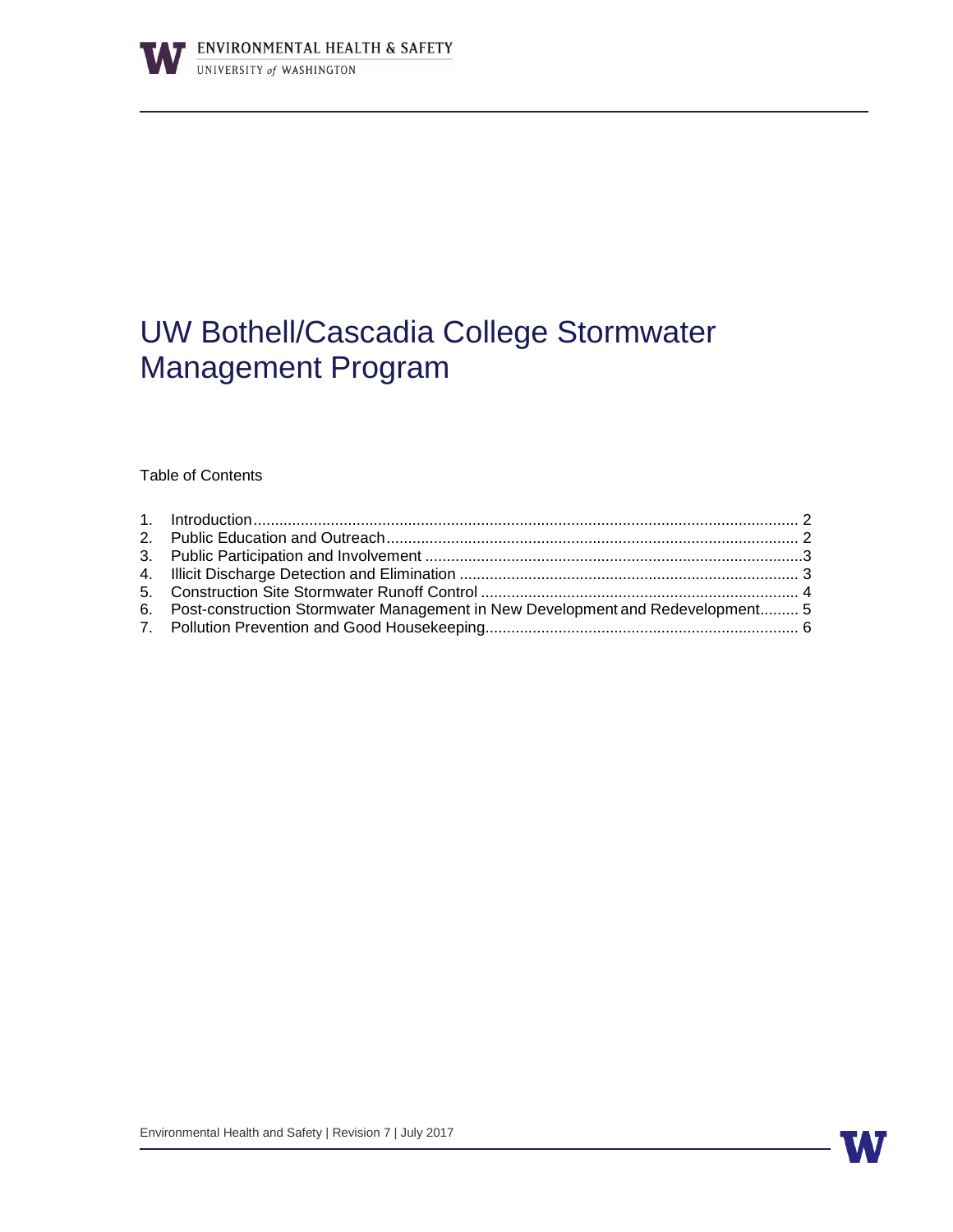

# UW Bothell/Cascadia College Stormwater Management Program

Table of Contents

| 6. Post-construction Stormwater Management in New Development and Redevelopment 5 |  |
|-----------------------------------------------------------------------------------|--|
|                                                                                   |  |
|                                                                                   |  |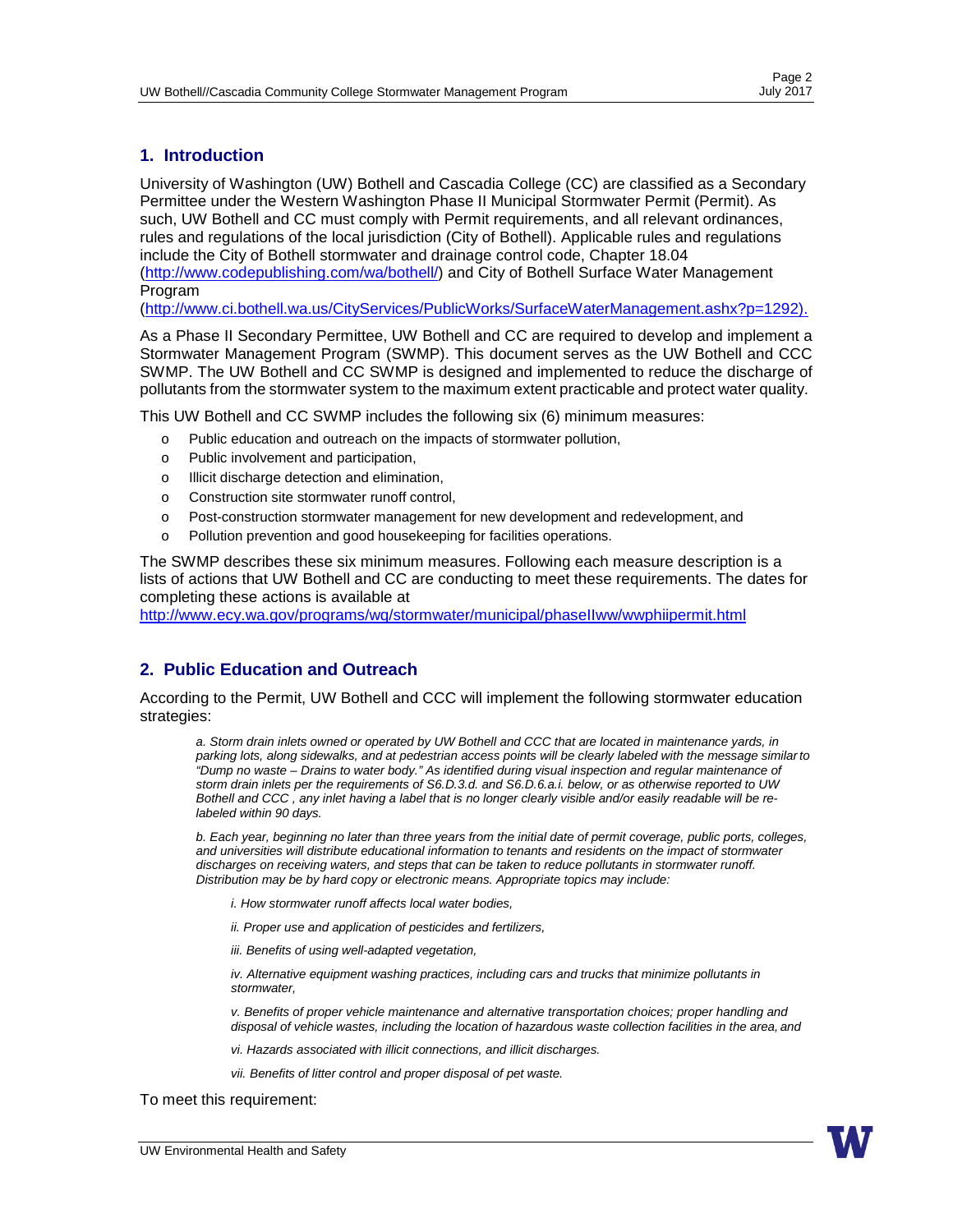## <span id="page-1-0"></span>**1. Introduction**

University of Washington (UW) Bothell and Cascadia College (CC) are classified as a Secondary Permittee under the Western Washington Phase II Municipal Stormwater Permit (Permit). As such, UW Bothell and CC must comply with Permit requirements, and all relevant ordinances, rules and regulations of the local jurisdiction (City of Bothell). Applicable rules and regulations include the City of Bothell stormwater and drainage control code, Chapter 18.04 [\(http://www.codepublishing.com/wa/bothell/\) a](http://www.codepublishing.com/wa/bothell/))nd City of Bothell Surface Water Management Program

[\(http://www.ci.bothell.wa.us/CityServices/PublicWorks/SurfaceWaterManagement.ashx?p=1292\).](http://www.ci.bothell.wa.us/CityServices/PublicWorks/SurfaceWaterManagement.ashx?p=1292))

As a Phase II Secondary Permittee, UW Bothell and CC are required to develop and implement a Stormwater Management Program (SWMP). This document serves as the UW Bothell and CCC SWMP. The UW Bothell and CC SWMP is designed and implemented to reduce the discharge of pollutants from the stormwater system to the maximum extent practicable and protect water quality.

This UW Bothell and CC SWMP includes the following six (6) minimum measures:

- o Public education and outreach on the impacts of stormwater pollution,
- o Public involvement and participation,
- o Illicit discharge detection and elimination,
- o Construction site stormwater runoff control,
- o Post-construction stormwater management for new development and redevelopment, and
- o Pollution prevention and good housekeeping for facilities operations.

The SWMP describes these six minimum measures. Following each measure description is a lists of actions that UW Bothell and CC are conducting to meet these requirements. The dates for completing these actions is available at

<http://www.ecy.wa.gov/programs/wq/stormwater/municipal/phaseIIww/wwphiipermit.html>

## <span id="page-1-1"></span>**2. Public Education and Outreach**

According to the Permit, UW Bothell and CCC will implement the following stormwater education strategies:

*a. Storm drain inlets owned or operated by UW Bothell and CCC that are located in maintenance yards, in parking lots, along sidewalks, and at pedestrian access points will be clearly labeled with the message similarto "Dump no waste – Drains to water body." As identified during visual inspection and regular maintenance of storm drain inlets per the requirements of S6.D.3.d. and S6.D.6.a.i. below, or as otherwise reported to UW Bothell and CCC , any inlet having a label that is no longer clearly visible and/or easily readable will be relabeled within 90 days.*

*b. Each year, beginning no later than three years from the initial date of permit coverage, public ports, colleges, and universities will distribute educational information to tenants and residents on the impact of stormwater discharges on receiving waters, and steps that can be taken to reduce pollutants in stormwater runoff. Distribution may be by hard copy or electronic means. Appropriate topics may include:*

*i. How stormwater runoff affects local water bodies,*

*ii. Proper use and application of pesticides and fertilizers,*

*iii. Benefits of using well-adapted vegetation,*

*iv. Alternative equipment washing practices, including cars and trucks that minimize pollutants in stormwater,*

*v. Benefits of proper vehicle maintenance and alternative transportation choices; proper handling and disposal of vehicle wastes, including the location of hazardous waste collection facilities in the area, and*

- *vi. Hazards associated with illicit connections, and illicit discharges.*
- *vii. Benefits of litter control and proper disposal of pet waste.*

To meet this requirement: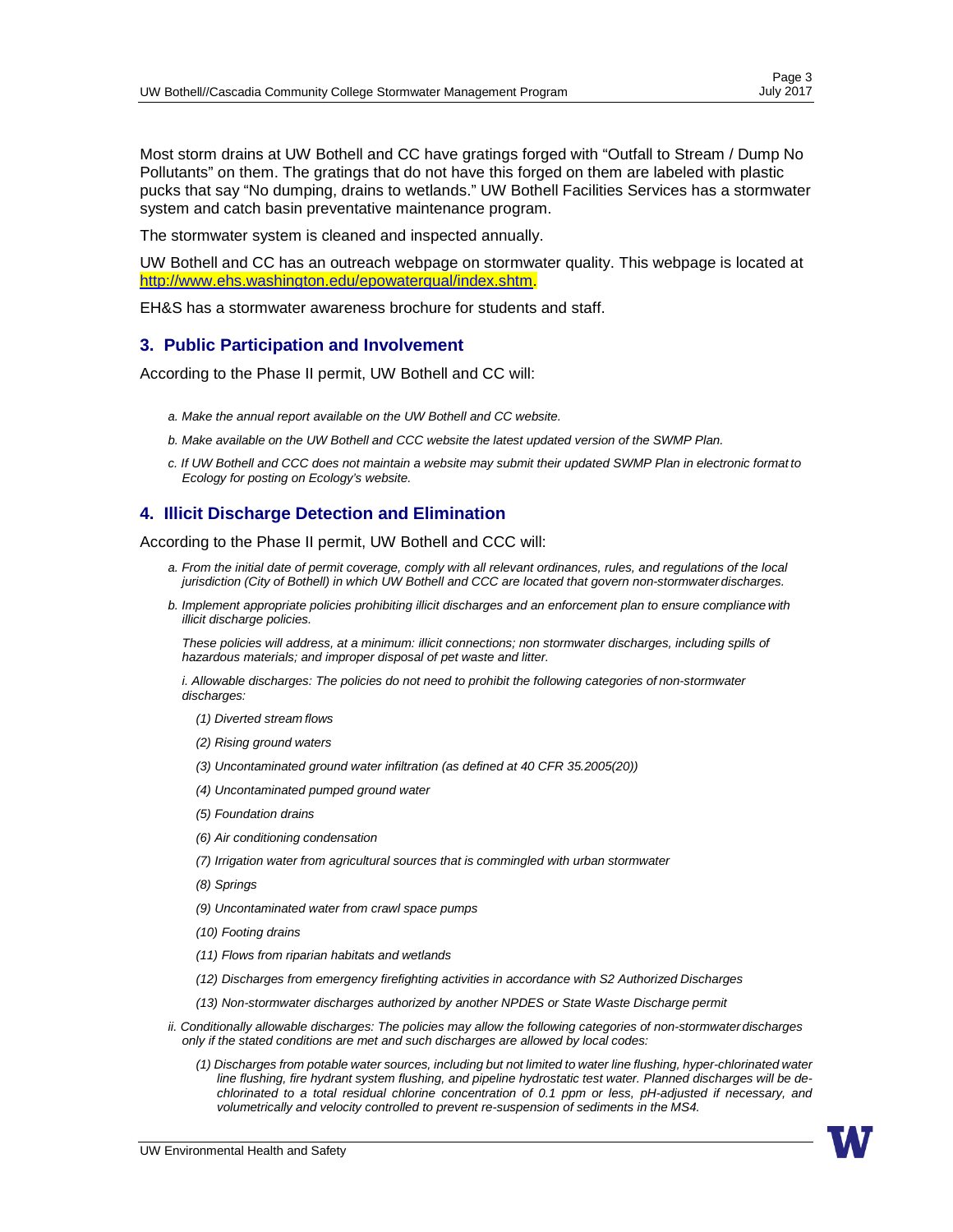Page 3<br>July 2017

Most storm drains at UW Bothell and CC have gratings forged with "Outfall to Stream / Dump No Pollutants" on them. The gratings that do not have this forged on them are labeled with plastic pucks that say "No dumping, drains to wetlands." UW Bothell Facilities Services has a stormwater system and catch basin preventative maintenance program.

The stormwater system is cleaned and inspected annually.

UW Bothell and CC has an outreach webpage on stormwater quality. This webpage is located at [http://www.ehs.washington.edu/epowaterqual/index.shtm.](http://www.ehs.washington.edu/epowaterqual/index.shtm)

EH&S has a stormwater awareness brochure for students and staff.

#### <span id="page-2-0"></span>**3. Public Participation and Involvement**

According to the Phase II permit, UW Bothell and CC will:

- *a. Make the annual report available on the UW Bothell and CC website.*
- *b. Make available on the UW Bothell and CCC website the latest updated version of the SWMP Plan.*
- *c. If UW Bothell and CCC does not maintain a website may submit their updated SWMP Plan in electronic format to Ecology for posting on Ecology's website.*

#### <span id="page-2-1"></span>**4. Illicit Discharge Detection and Elimination**

According to the Phase II permit, UW Bothell and CCC will:

- *a. From the initial date of permit coverage, comply with all relevant ordinances, rules, and regulations of the local jurisdiction (City of Bothell) in which UW Bothell and CCC are located that govern non-stormwater discharges.*
- *b. Implement appropriate policies prohibiting illicit discharges and an enforcement plan to ensure compliance with illicit discharge policies.*

*These policies will address, at a minimum: illicit connections; non stormwater discharges, including spills of hazardous materials; and improper disposal of pet waste and litter.*

*i. Allowable discharges: The policies do not need to prohibit the following categories of non-stormwater discharges:*

- *(1) Diverted stream flows*
- *(2) Rising ground waters*
- *(3) Uncontaminated ground water infiltration (as defined at 40 CFR 35.2005(20))*
- *(4) Uncontaminated pumped ground water*
- *(5) Foundation drains*
- *(6) Air conditioning condensation*
- *(7) Irrigation water from agricultural sources that is commingled with urban stormwater*
- *(8) Springs*
- *(9) Uncontaminated water from crawl space pumps*
- *(10) Footing drains*
- *(11) Flows from riparian habitats and wetlands*
- *(12) Discharges from emergency firefighting activities in accordance with S2 Authorized Discharges*
- *(13) Non-stormwater discharges authorized by another NPDES or State Waste Discharge permit*
- *ii. Conditionally allowable discharges: The policies may allow the following categories of non-stormwater discharges only if the stated conditions are met and such discharges are allowed by local codes:*
	- (1) Discharges from potable water sources, including but not limited to water line flushing, hyper-chlorinated water *line flushing, fire hydrant system flushing, and pipeline hydrostatic test water. Planned discharges will be dechlorinated to a total residual chlorine concentration of 0.1 ppm or less, pH-adjusted if necessary, and volumetrically and velocity controlled to prevent re-suspension of sediments in the MS4.*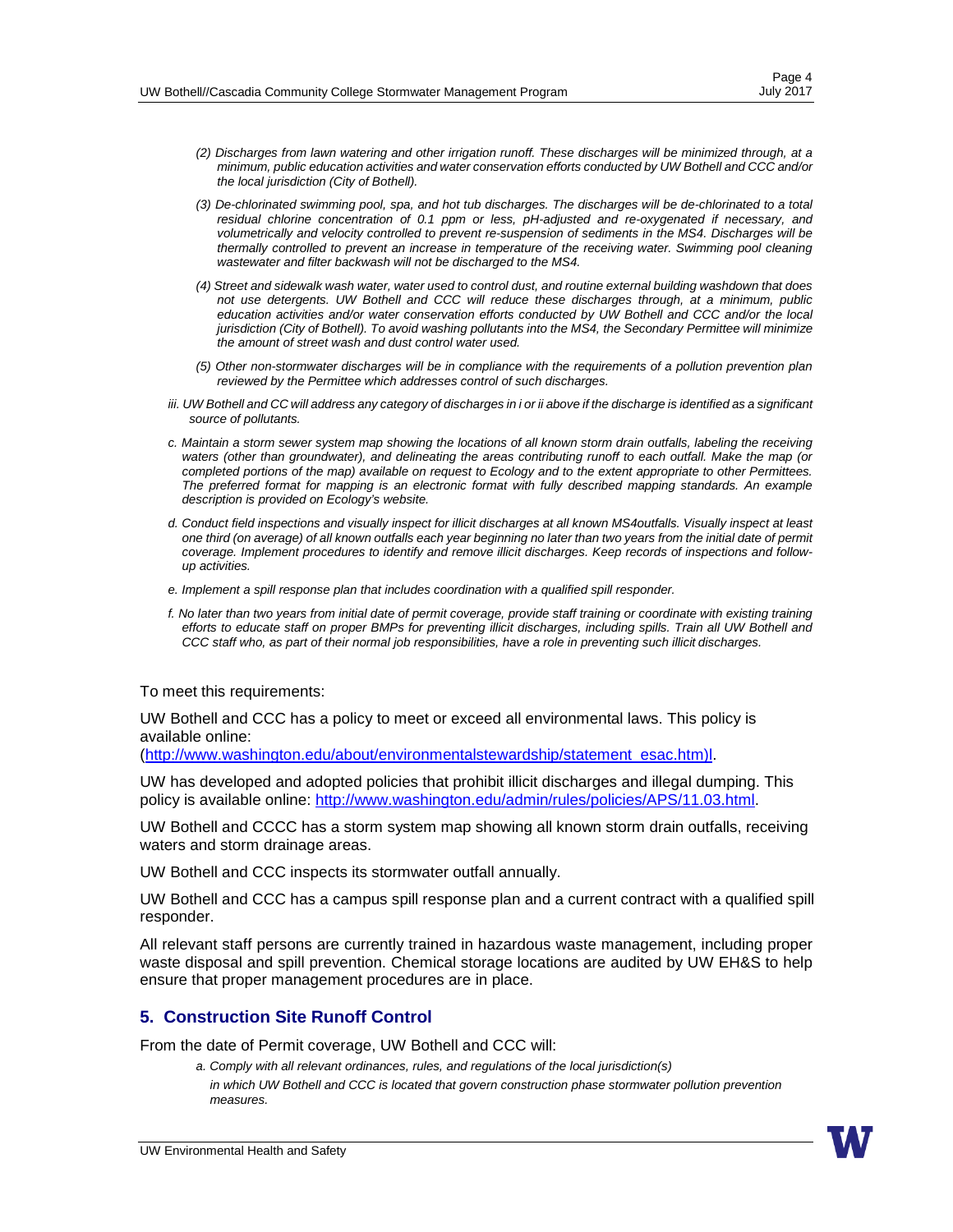- *(2) Discharges from lawn watering and other irrigation runoff. These discharges will be minimized through, at a minimum, public education activities and water conservation efforts conducted by UW Bothell and CCC and/or the local jurisdiction (City of Bothell).*
- *(3) De-chlorinated swimming pool, spa, and hot tub discharges. The discharges will be de-chlorinated to a total residual chlorine concentration of 0.1 ppm or less, pH-adjusted and re-oxygenated if necessary, and volumetrically and velocity controlled to prevent re-suspension of sediments in the MS4. Discharges will be thermally controlled to prevent an increase in temperature of the receiving water. Swimming pool cleaning wastewater and filter backwash will not be discharged to the MS4.*
- (4) Street and sidewalk wash water, water used to control dust, and routine external building washdown that does *not use detergents. UW Bothell and CCC will reduce these discharges through, at a minimum, public education activities and/or water conservation efforts conducted by UW Bothell and CCC and/or the local jurisdiction (City of Bothell). To avoid washing pollutants into the MS4, the Secondary Permittee will minimize the amount of street wash and dust control water used.*
- *(5) Other non-stormwater discharges will be in compliance with the requirements of a pollution prevention plan reviewed by the Permittee which addresses control of such discharges.*
- iii. UW Bothell and CC will address any category of discharges in i or ii above if the discharge is identified as a significant *source of pollutants.*
- *c. Maintain a storm sewer system map showing the locations of all known storm drain outfalls, labeling the receiving waters (other than groundwater), and delineating the areas contributing runoff to each outfall. Make the map (or completed portions of the map) available on request to Ecology and to the extent appropriate to other Permittees. The preferred format for mapping is an electronic format with fully described mapping standards. An example description is provided on Ecology's website.*
- d. Conduct field inspections and visually inspect for illicit discharges at all known MS4outfalls. Visually inspect at least one third (on average) of all known outfalls each year beginning no later than two years from the initial date of permit *coverage. Implement procedures to identify and remove illicit discharges. Keep records of inspections and followup activities.*
- *e. Implement a spill response plan that includes coordination with a qualified spill responder.*
- *f. No later than two years from initial date of permit coverage, provide staff training or coordinate with existing training efforts to educate staff on proper BMPs for preventing illicit discharges, including spills. Train all UW Bothell and CCC staff who, as part of their normal job responsibilities, have a role in preventing such illicit discharges.*

To meet this requirements:

UW Bothell and CCC has a policy to meet or exceed all environmental laws. This policy is available online:

[\(http://www.washington.edu/about/environmentalstewardship/statement\\_esac.htm\)l.](http://www.washington.edu/about/environmentalstewardship/statement_esac.htm)l)

UW has developed and adopted policies that prohibit illicit discharges and illegal dumping. This policy is available online: [http://www.washington.edu/admin/rules/policies/APS/11.03.html.](http://www.washington.edu/admin/rules/policies/APS/11.03.html)

UW Bothell and CCCC has a storm system map showing all known storm drain outfalls, receiving waters and storm drainage areas.

UW Bothell and CCC inspects its stormwater outfall annually.

UW Bothell and CCC has a campus spill response plan and a current contract with a qualified spill responder.

All relevant staff persons are currently trained in hazardous waste management, including proper waste disposal and spill prevention. Chemical storage locations are audited by UW EH&S to help ensure that proper management procedures are in place.

## **5. Construction Site Runoff Control**

From the date of Permit coverage, UW Bothell and CCC will:

*a. Comply with all relevant ordinances, rules, and regulations of the local jurisdiction(s) in which UW Bothell and CCC is located that govern construction phase stormwater pollution prevention measures.*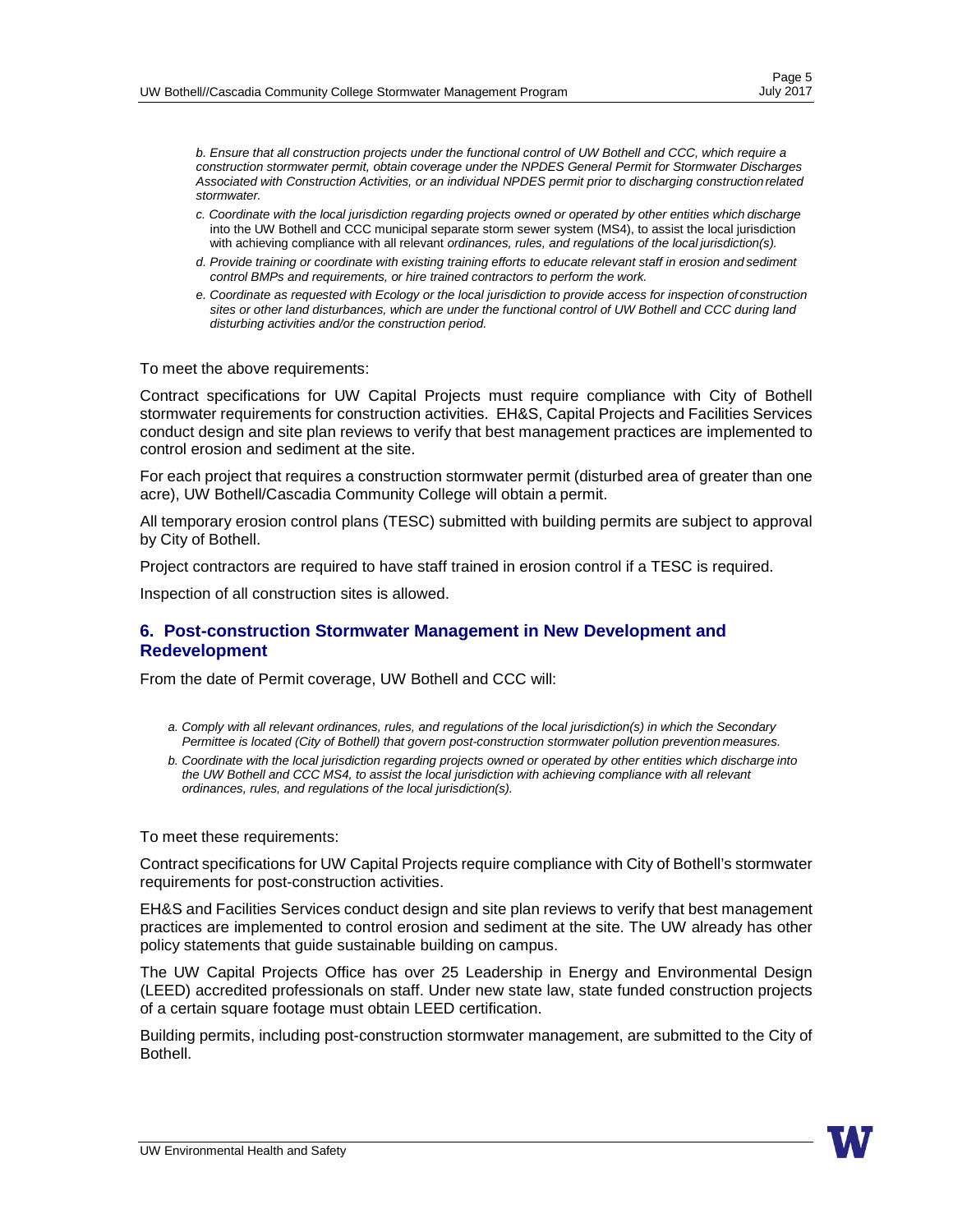*b. Ensure that all construction projects under the functional control of UW Bothell and CCC, which require a construction stormwater permit, obtain coverage under the NPDES General Permit for Stormwater Discharges Associated with Construction Activities, or an individual NPDES permit prior to discharging constructionrelated stormwater.*

- *c. Coordinate with the local jurisdiction regarding projects owned or operated by other entities which discharge*  into the UW Bothell and CCC municipal separate storm sewer system (MS4), to assist the local jurisdiction with achieving compliance with all relevant *ordinances, rules, and regulations of the local jurisdiction(s).*
- *d. Provide training or coordinate with existing training efforts to educate relevant staff in erosion and sediment control BMPs and requirements, or hire trained contractors to perform the work.*
- *e. Coordinate as requested with Ecology or the local jurisdiction to provide access for inspection of construction sites or other land disturbances, which are under the functional control of UW Bothell and CCC during land disturbing activities and/or the construction period.*

To meet the above requirements:

Contract specifications for UW Capital Projects must require compliance with City of Bothell stormwater requirements for construction activities. EH&S, Capital Projects and Facilities Services conduct design and site plan reviews to verify that best management practices are implemented to control erosion and sediment at the site.

For each project that requires a construction stormwater permit (disturbed area of greater than one acre), UW Bothell/Cascadia Community College will obtain a permit.

All temporary erosion control plans (TESC) submitted with building permits are subject to approval by City of Bothell.

Project contractors are required to have staff trained in erosion control if a TESC is required.

Inspection of all construction sites is allowed.

#### <span id="page-4-0"></span>**6. Post-construction Stormwater Management in New Development and Redevelopment**

From the date of Permit coverage, UW Bothell and CCC will:

- *a. Comply with all relevant ordinances, rules, and regulations of the local jurisdiction(s) in which the Secondary Permittee is located (City of Bothell) that govern post-construction stormwater pollution prevention measures.*
- *b. Coordinate with the local jurisdiction regarding projects owned or operated by other entities which discharge into the UW Bothell and CCC MS4, to assist the local jurisdiction with achieving compliance with all relevant ordinances, rules, and regulations of the local jurisdiction(s).*

To meet these requirements:

Contract specifications for UW Capital Projects require compliance with City of Bothell's stormwater requirements for post-construction activities.

EH&S and Facilities Services conduct design and site plan reviews to verify that best management practices are implemented to control erosion and sediment at the site. The UW already has other policy statements that guide sustainable building on campus.

The UW Capital Projects Office has over 25 Leadership in Energy and Environmental Design (LEED) accredited professionals on staff. Under new state law, state funded construction projects of a certain square footage must obtain LEED certification.

Building permits, including post-construction stormwater management, are submitted to the City of Bothell.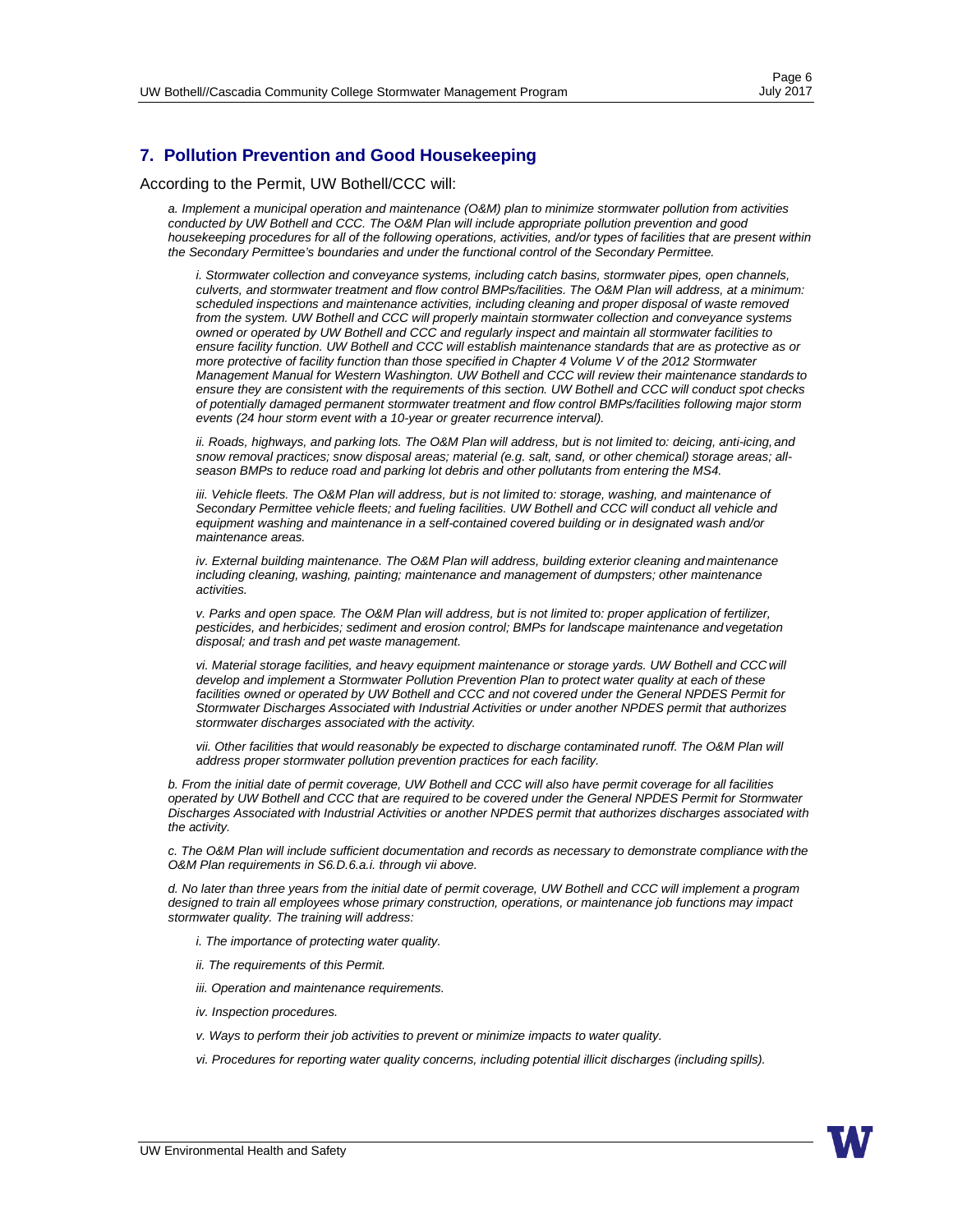## <span id="page-5-0"></span>**7. Pollution Prevention and Good Housekeeping**

According to the Permit, UW Bothell/CCC will:

*a. Implement a municipal operation and maintenance (O&M) plan to minimize stormwater pollution from activities conducted by UW Bothell and CCC. The O&M Plan will include appropriate pollution prevention and good housekeeping procedures for all of the following operations, activities, and/or types of facilities that are present within the Secondary Permittee's boundaries and under the functional control of the Secondary Permittee.*

*i. Stormwater collection and conveyance systems, including catch basins, stormwater pipes, open channels, culverts, and stormwater treatment and flow control BMPs/facilities. The O&M Plan will address, at a minimum: scheduled inspections and maintenance activities, including cleaning and proper disposal of waste removed from the system. UW Bothell and CCC will properly maintain stormwater collection and conveyance systems owned or operated by UW Bothell and CCC and regularly inspect and maintain all stormwater facilities to ensure facility function. UW Bothell and CCC will establish maintenance standards that are as protective as or more protective of facility function than those specified in Chapter 4 Volume V of the 2012 Stormwater Management Manual for Western Washington. UW Bothell and CCC will review their maintenance standards to ensure they are consistent with the requirements of this section. UW Bothell and CCC will conduct spot checks of potentially damaged permanent stormwater treatment and flow control BMPs/facilities following major storm events (24 hour storm event with a 10-year or greater recurrence interval).*

*ii. Roads, highways, and parking lots. The O&M Plan will address, but is not limited to: deicing, anti-icing, and snow removal practices; snow disposal areas; material (e.g. salt, sand, or other chemical) storage areas; allseason BMPs to reduce road and parking lot debris and other pollutants from entering the MS4.*

*iii. Vehicle fleets. The O&M Plan will address, but is not limited to: storage, washing, and maintenance of Secondary Permittee vehicle fleets; and fueling facilities. UW Bothell and CCC will conduct all vehicle and equipment washing and maintenance in a self-contained covered building or in designated wash and/or maintenance areas.*

*iv. External building maintenance. The O&M Plan will address, building exterior cleaning and maintenance including cleaning, washing, painting; maintenance and management of dumpsters; other maintenance activities.*

*v. Parks and open space. The O&M Plan will address, but is not limited to: proper application of fertilizer, pesticides, and herbicides; sediment and erosion control; BMPs for landscape maintenance and vegetation disposal; and trash and pet waste management.*

*vi. Material storage facilities, and heavy equipment maintenance or storage yards. UW Bothell and CCC will develop and implement a Stormwater Pollution Prevention Plan to protect water quality at each of these*  facilities owned or operated by UW Bothell and CCC and not covered under the General NPDES Permit for *Stormwater Discharges Associated with Industrial Activities or under another NPDES permit that authorizes stormwater discharges associated with the activity.*

*vii.* Other facilities that would reasonably be expected to discharge contaminated runoff. The O&M Plan will *address proper stormwater pollution prevention practices for each facility.*

*b. From the initial date of permit coverage, UW Bothell and CCC will also have permit coverage for all facilities operated by UW Bothell and CCC that are required to be covered under the General NPDES Permit for Stormwater Discharges Associated with Industrial Activities or another NPDES permit that authorizes discharges associated with the activity.*

*c. The O&M Plan will include sufficient documentation and records as necessary to demonstrate compliance with the O&M Plan requirements in S6.D.6.a.i. through vii above.*

*d. No later than three years from the initial date of permit coverage, UW Bothell and CCC will implement a program designed to train all employees whose primary construction, operations, or maintenance job functions may impact stormwater quality. The training will address:*

*i. The importance of protecting water quality.*

- *ii. The requirements of this Permit.*
- *iii. Operation and maintenance requirements.*
- *iv. Inspection procedures.*
- *v. Ways to perform their job activities to prevent or minimize impacts to water quality.*
- *vi. Procedures for reporting water quality concerns, including potential illicit discharges (including spills).*